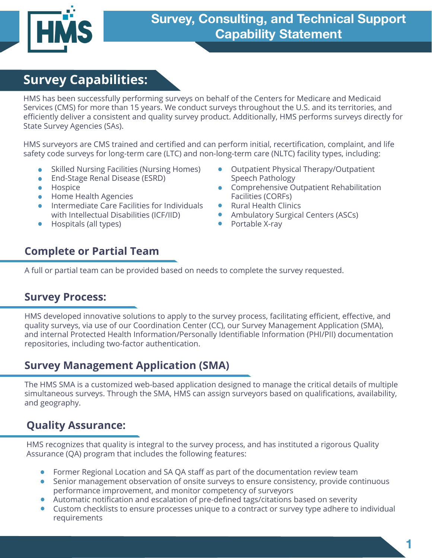

# **Survey Capabilities:**

HMS has been successfully performing surveys on behalf of the Centers for Medicare and Medicaid Services (CMS) for more than 15 years. We conduct surveys throughout the U.S. and its territories, and efficiently deliver a consistent and quality survey product. Additionally, HMS performs surveys directly for State Survey Agencies (SAs).

HMS surveyors are CMS trained and certified and can perform initial, recertification, complaint, and life safety code surveys for long-term care (LTC) and non-long-term care (NLTC) facility types, including:

- Skilled Nursing Facilities (Nursing Homes)
- End-Stage Renal Disease (ESRD)
- Hospice
- Home Health Agencies
- Intermediate Care Facilities for Individuals with Intellectual Disabilities (ICF/IID)
- Hospitals (all types)
- Outpatient Physical Therapy/Outpatient Speech Pathology
- Comprehensive Outpatient Rehabilitation Facilities (CORFs)
- Rural Health Clinics
- Ambulatory Surgical Centers (ASCs)
- Portable X-ray

#### **Complete or Partial Team**

A full or partial team can be provided based on needs to complete the survey requested.

#### **Survey Process:**

HMS developed innovative solutions to apply to the survey process, facilitating efficient, effective, and quality surveys, via use of our Coordination Center (CC), our Survey Management Application (SMA), and internal Protected Health Information/Personally Identifiable Information (PHI/PII) documentation repositories, including two-factor authentication.

#### **Survey Management Application (SMA)**

The HMS SMA is a customized web-based application designed to manage the critical details of multiple simultaneous surveys. Through the SMA, HMS can assign surveyors based on qualifications, availability, and geography.

#### **Quality Assurance:**

HMS recognizes that quality is integral to the survey process, and has instituted a rigorous Quality Assurance (QA) program that includes the following features:

- Former Regional Location and SA QA staff as part of the documentation review team
- Senior management observation of onsite surveys to ensure consistency, provide continuous performance improvement, and monitor competency of surveyors
- Automatic notification and escalation of pre-defined tags/citations based on severity
- Custom checklists to ensure processes unique to a contract or survey type adhere to individual requirements

**1**